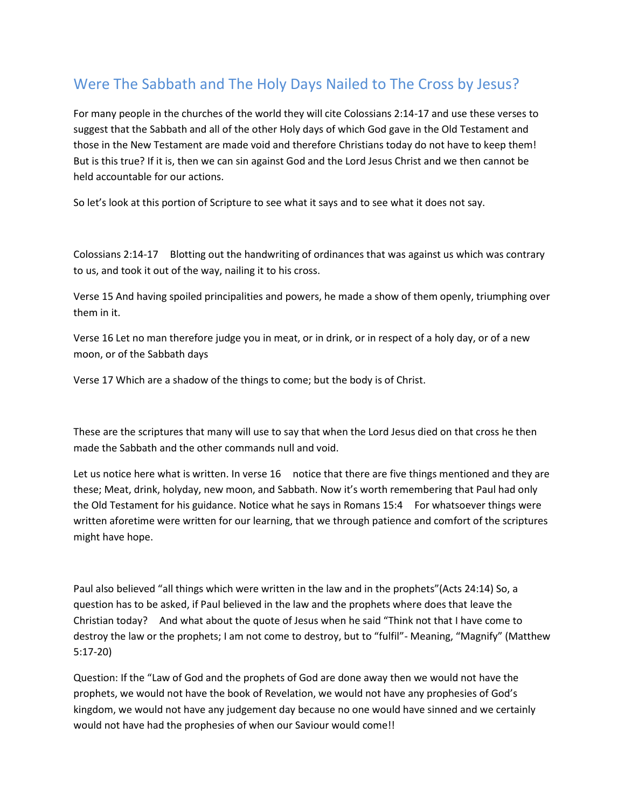## Were The Sabbath and The Holy Days Nailed to The Cross by Jesus?

For many people in the churches of the world they will cite Colossians 2:14-17 and use these verses to suggest that the Sabbath and all of the other Holy days of which God gave in the Old Testament and those in the New Testament are made void and therefore Christians today do not have to keep them! But is this true? If it is, then we can sin against God and the Lord Jesus Christ and we then cannot be held accountable for our actions.

So let's look at this portion of Scripture to see what it says and to see what it does not say.

Colossians 2:14-17 Blotting out the handwriting of ordinances that was against us which was contrary to us, and took it out of the way, nailing it to his cross.

Verse 15 And having spoiled principalities and powers, he made a show of them openly, triumphing over them in it.

Verse 16 Let no man therefore judge you in meat, or in drink, or in respect of a holy day, or of a new moon, or of the Sabbath days

Verse 17 Which are a shadow of the things to come; but the body is of Christ.

These are the scriptures that many will use to say that when the Lord Jesus died on that cross he then made the Sabbath and the other commands null and void.

Let us notice here what is written. In verse 16 notice that there are five things mentioned and they are these; Meat, drink, holyday, new moon, and Sabbath. Now it's worth remembering that Paul had only the Old Testament for his guidance. Notice what he says in Romans 15:4 For whatsoever things were written aforetime were written for our learning, that we through patience and comfort of the scriptures might have hope.

Paul also believed "all things which were written in the law and in the prophets"(Acts 24:14) So, a question has to be asked, if Paul believed in the law and the prophets where does that leave the Christian today? And what about the quote of Jesus when he said "Think not that I have come to destroy the law or the prophets; I am not come to destroy, but to "fulfil"- Meaning, "Magnify" (Matthew 5:17-20)

Question: If the "Law of God and the prophets of God are done away then we would not have the prophets, we would not have the book of Revelation, we would not have any prophesies of God's kingdom, we would not have any judgement day because no one would have sinned and we certainly would not have had the prophesies of when our Saviour would come!!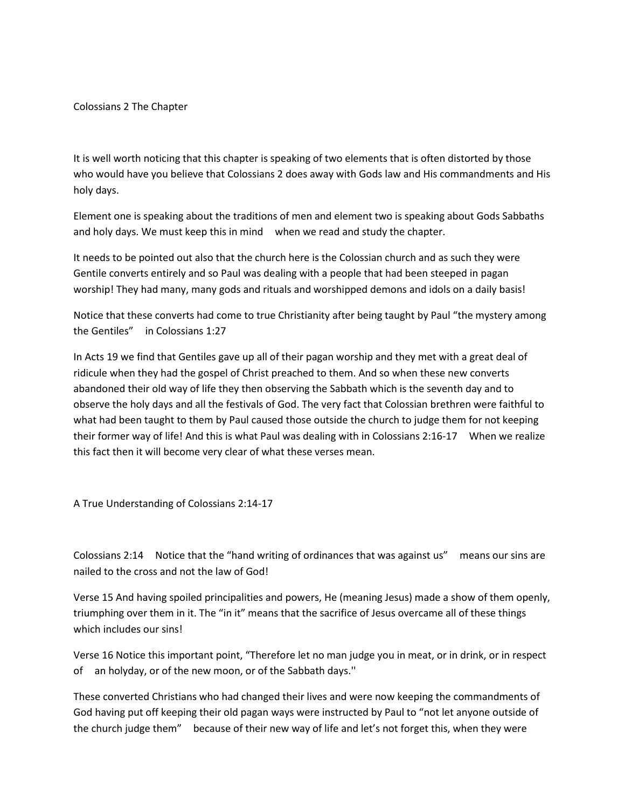Colossians 2 The Chapter

It is well worth noticing that this chapter is speaking of two elements that is often distorted by those who would have you believe that Colossians 2 does away with Gods law and His commandments and His holy days.

Element one is speaking about the traditions of men and element two is speaking about Gods Sabbaths and holy days. We must keep this in mind when we read and study the chapter.

It needs to be pointed out also that the church here is the Colossian church and as such they were Gentile converts entirely and so Paul was dealing with a people that had been steeped in pagan worship! They had many, many gods and rituals and worshipped demons and idols on a daily basis!

Notice that these converts had come to true Christianity after being taught by Paul "the mystery among the Gentiles" in Colossians 1:27

In Acts 19 we find that Gentiles gave up all of their pagan worship and they met with a great deal of ridicule when they had the gospel of Christ preached to them. And so when these new converts abandoned their old way of life they then observing the Sabbath which is the seventh day and to observe the holy days and all the festivals of God. The very fact that Colossian brethren were faithful to what had been taught to them by Paul caused those outside the church to judge them for not keeping their former way of life! And this is what Paul was dealing with in Colossians 2:16-17 When we realize this fact then it will become very clear of what these verses mean.

A True Understanding of Colossians 2:14-17

Colossians 2:14 Notice that the "hand writing of ordinances that was against us" means our sins are nailed to the cross and not the law of God!

Verse 15 And having spoiled principalities and powers, He (meaning Jesus) made a show of them openly, triumphing over them in it. The "in it" means that the sacrifice of Jesus overcame all of these things which includes our sins!

Verse 16 Notice this important point, "Therefore let no man judge you in meat, or in drink, or in respect of an holyday, or of the new moon, or of the Sabbath days.''

These converted Christians who had changed their lives and were now keeping the commandments of God having put off keeping their old pagan ways were instructed by Paul to "not let anyone outside of the church judge them" because of their new way of life and let's not forget this, when they were